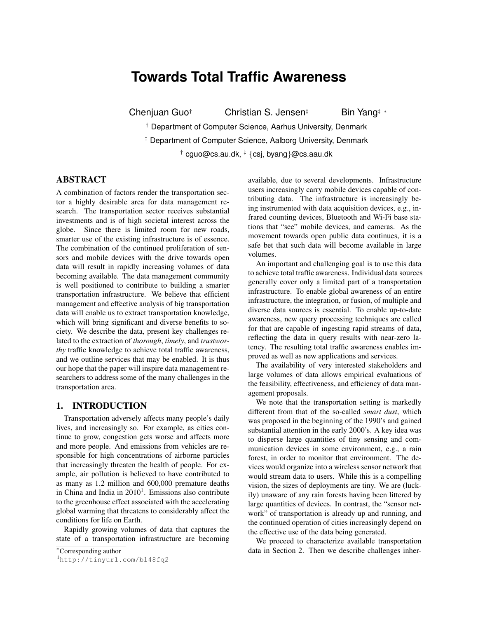# **Towards Total Traffic Awareness**

Chenjuan Guo*†* Christian S. Jensen*‡* Bin Yang*‡ ∗*

*†* Department of Computer Science, Aarhus University, Denmark

*‡* Department of Computer Science, Aalborg University, Denmark *†* cguo@cs.au.dk, *‡ {*csj, byang*}*@cs.aau.dk

# ABSTRACT

A combination of factors render the transportation sector a highly desirable area for data management research. The transportation sector receives substantial investments and is of high societal interest across the globe. Since there is limited room for new roads, smarter use of the existing infrastructure is of essence. The combination of the continued proliferation of sensors and mobile devices with the drive towards open data will result in rapidly increasing volumes of data becoming available. The data management community is well positioned to contribute to building a smarter transportation infrastructure. We believe that efficient management and effective analysis of big transportation data will enable us to extract transportation knowledge, which will bring significant and diverse benefits to society. We describe the data, present key challenges related to the extraction of *thorough*, *timely*, and *trustworthy* traffic knowledge to achieve total traffic awareness, and we outline services that may be enabled. It is thus our hope that the paper will inspire data management researchers to address some of the many challenges in the transportation area.

## 1. INTRODUCTION

Transportation adversely affects many people's daily lives, and increasingly so. For example, as cities continue to grow, congestion gets worse and affects more and more people. And emissions from vehicles are responsible for high concentrations of airborne particles that increasingly threaten the health of people. For example, air pollution is believed to have contributed to as many as 1.2 million and 600,000 premature deaths in China and India in  $2010<sup>1</sup>$ . Emissions also contribute to the greenhouse effect associated with the accelerating global warming that threatens to considerably affect the conditions for life on Earth.

Rapidly growing volumes of data that captures the state of a transportation infrastructure are becoming available, due to several developments. Infrastructure users increasingly carry mobile devices capable of contributing data. The infrastructure is increasingly being instrumented with data acquisition devices, e.g., infrared counting devices, Bluetooth and Wi-Fi base stations that "see" mobile devices, and cameras. As the movement towards open public data continues, it is a safe bet that such data will become available in large volumes.

An important and challenging goal is to use this data to achieve total traffic awareness. Individual data sources generally cover only a limited part of a transportation infrastructure. To enable global awareness of an entire infrastructure, the integration, or fusion, of multiple and diverse data sources is essential. To enable up-to-date awareness, new query processing techniques are called for that are capable of ingesting rapid streams of data, reflecting the data in query results with near-zero latency. The resulting total traffic awareness enables improved as well as new applications and services.

The availability of very interested stakeholders and large volumes of data allows empirical evaluations of the feasibility, effectiveness, and efficiency of data management proposals.

We note that the transportation setting is markedly different from that of the so-called *smart dust*, which was proposed in the beginning of the 1990's and gained substantial attention in the early 2000's. A key idea was to disperse large quantities of tiny sensing and communication devices in some environment, e.g., a rain forest, in order to monitor that environment. The devices would organize into a wireless sensor network that would stream data to users. While this is a compelling vision, the sizes of deployments are tiny. We are (luckily) unaware of any rain forests having been littered by large quantities of devices. In contrast, the "sensor network" of transportation is already up and running, and the continued operation of cities increasingly depend on the effective use of the data being generated.

We proceed to characterize available transportation data in Section 2. Then we describe challenges inher-

*<sup>∗</sup>*Corresponding author

<sup>1</sup>http://tinyurl.com/bl48fq2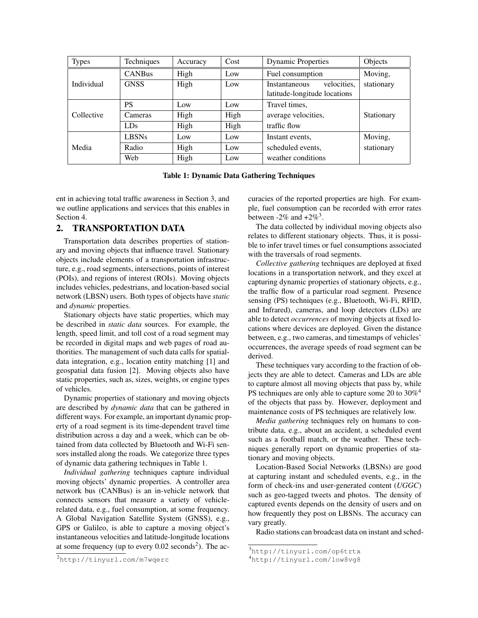| <b>Types</b> | Techniques     | Accuracy | Cost | <b>Dynamic Properties</b>                                    | Objects    |
|--------------|----------------|----------|------|--------------------------------------------------------------|------------|
|              | <b>CANBus</b>  | High     | Low  | Fuel consumption                                             | Moving,    |
| Individual   | <b>GNSS</b>    | High     | Low  | velocities.<br>Instantaneous<br>latitude-longitude locations | stationary |
| Collective   | <b>PS</b>      | Low      | Low  | Travel times,                                                |            |
|              | <b>Cameras</b> | High     | High | average velocities,                                          | Stationary |
|              | <b>LDs</b>     | High     | High | traffic flow                                                 |            |
| Media        | <b>LBSNs</b>   | Low      | Low  | Instant events,                                              | Moving,    |
|              | Radio          | High     | Low  | scheduled events,                                            | stationary |
|              | Web            | High     | Low  | weather conditions                                           |            |

Table 1: Dynamic Data Gathering Techniques

ent in achieving total traffic awareness in Section 3, and we outline applications and services that this enables in Section 4.

## 2. TRANSPORTATION DATA

Transportation data describes properties of stationary and moving objects that influence travel. Stationary objects include elements of a transportation infrastructure, e.g., road segments, intersections, points of interest (POIs), and regions of interest (ROIs). Moving objects includes vehicles, pedestrians, and location-based social network (LBSN) users. Both types of objects have *static* and *dynamic* properties.

Stationary objects have static properties, which may be described in *static data* sources. For example, the length, speed limit, and toll cost of a road segment may be recorded in digital maps and web pages of road authorities. The management of such data calls for spatialdata integration, e.g., location entity matching [1] and geospatial data fusion [2]. Moving objects also have static properties, such as, sizes, weights, or engine types of vehicles.

Dynamic properties of stationary and moving objects are described by *dynamic data* that can be gathered in different ways. For example, an important dynamic property of a road segment is its time-dependent travel time distribution across a day and a week, which can be obtained from data collected by Bluetooth and Wi-Fi sensors installed along the roads. We categorize three types of dynamic data gathering techniques in Table 1.

*Individual gathering* techniques capture individual moving objects' dynamic properties. A controller area network bus (CANBus) is an in-vehicle network that connects sensors that measure a variety of vehiclerelated data, e.g., fuel consumption, at some frequency. A Global Navigation Satellite System (GNSS), e.g., GPS or Galileo, is able to capture a moving object's instantaneous velocities and latitude-longitude locations at some frequency (up to every  $0.02$  seconds<sup>2</sup>). The accuracies of the reported properties are high. For example, fuel consumption can be recorded with error rates between  $-2\%$  and  $+2\%$ <sup>3</sup>.

The data collected by individual moving objects also relates to different stationary objects. Thus, it is possible to infer travel times or fuel consumptions associated with the traversals of road segments.

*Collective gathering* techniques are deployed at fixed locations in a transportation network, and they excel at capturing dynamic properties of stationary objects, e.g., the traffic flow of a particular road segment. Presence sensing (PS) techniques (e.g., Bluetooth, Wi-Fi, RFID, and Infrared), cameras, and loop detectors (LDs) are able to detect *occurrences* of moving objects at fixed locations where devices are deployed. Given the distance between, e.g., two cameras, and timestamps of vehicles' occurrences, the average speeds of road segment can be derived.

These techniques vary according to the fraction of objects they are able to detect. Cameras and LDs are able to capture almost all moving objects that pass by, while PS techniques are only able to capture some 20 to  $30\%$ <sup>4</sup> of the objects that pass by. However, deployment and maintenance costs of PS techniques are relatively low.

*Media gathering* techniques rely on humans to contribute data, e.g., about an accident, a scheduled event such as a football match, or the weather. These techniques generally report on dynamic properties of stationary and moving objects.

Location-Based Social Networks (LBSNs) are good at capturing instant and scheduled events, e.g., in the form of check-ins and user-generated content (*UGGC*) such as geo-tagged tweets and photos. The density of captured events depends on the density of users and on how frequently they post on LBSNs. The accuracy can vary greatly.

Radio stations can broadcast data on instant and sched-

<sup>3</sup>http://tinyurl.com/op6trtx

<sup>4</sup>http://tinyurl.com/low8vg8

<sup>2</sup>http://tinyurl.com/m7wqerc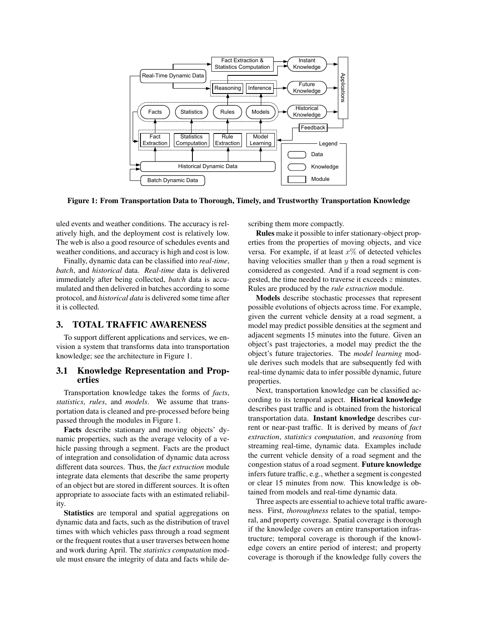

Figure 1: From Transportation Data to Thorough, Timely, and Trustworthy Transportation Knowledge

uled events and weather conditions. The accuracy is relatively high, and the deployment cost is relatively low. The web is also a good resource of schedules events and weather conditions, and accuracy is high and cost is low.

Finally, dynamic data can be classified into *real-time*, *batch*, and *historical* data. *Real-time* data is delivered immediately after being collected, *batch* data is accumulated and then delivered in batches according to some protocol, and *historical data* is delivered some time after it is collected.

#### 3. TOTAL TRAFFIC AWARENESS

To support different applications and services, we envision a system that transforms data into transportation knowledge; see the architecture in Figure 1.

#### 3.1 Knowledge Representation and Properties

Transportation knowledge takes the forms of *facts*, *statistics*, *rules*, and *models*. We assume that transportation data is cleaned and pre-processed before being passed through the modules in Figure 1.

Facts describe stationary and moving objects' dynamic properties, such as the average velocity of a vehicle passing through a segment. Facts are the product of integration and consolidation of dynamic data across different data sources. Thus, the *fact extraction* module integrate data elements that describe the same property of an object but are stored in different sources. It is often appropriate to associate facts with an estimated reliability.

Statistics are temporal and spatial aggregations on dynamic data and facts, such as the distribution of travel times with which vehicles pass through a road segment or the frequent routes that a user traverses between home and work during April. The *statistics computation* module must ensure the integrity of data and facts while describing them more compactly.

Rules make it possible to infer stationary-object properties from the properties of moving objects, and vice versa. For example, if at least *x*% of detected vehicles having velocities smaller than *y* then a road segment is considered as congested. And if a road segment is congested, the time needed to traverse it exceeds *z* minutes. Rules are produced by the *rule extraction* module.

Models describe stochastic processes that represent possible evolutions of objects across time. For example, given the current vehicle density at a road segment, a model may predict possible densities at the segment and adjacent segments 15 minutes into the future. Given an object's past trajectories, a model may predict the the object's future trajectories. The *model learning* module derives such models that are subsequently fed with real-time dynamic data to infer possible dynamic, future properties.

Next, transportation knowledge can be classified according to its temporal aspect. Historical knowledge describes past traffic and is obtained from the historical transportation data. Instant knowledge describes current or near-past traffic. It is derived by means of *fact extraction*, *statistics computation*, and *reasoning* from streaming real-time, dynamic data. Examples include the current vehicle density of a road segment and the congestion status of a road segment. Future knowledge infers future traffic, e.g., whether a segment is congested or clear 15 minutes from now. This knowledge is obtained from models and real-time dynamic data.

Three aspects are essential to achieve total traffic awareness. First, *thoroughness* relates to the spatial, temporal, and property coverage. Spatial coverage is thorough if the knowledge covers an entire transportation infrastructure; temporal coverage is thorough if the knowledge covers an entire period of interest; and property coverage is thorough if the knowledge fully covers the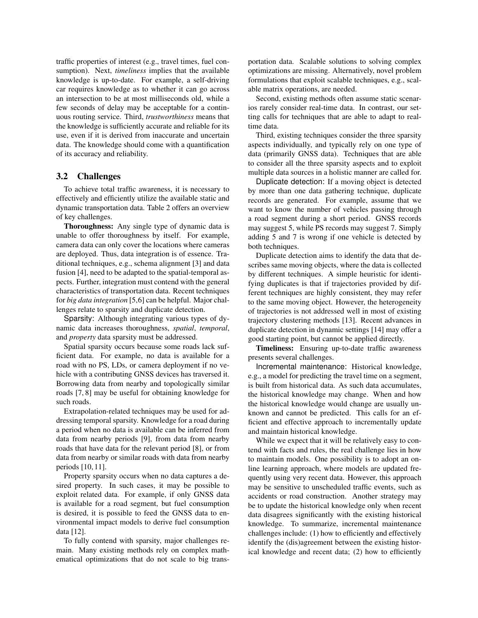traffic properties of interest (e.g., travel times, fuel consumption). Next, *timeliness* implies that the available knowledge is up-to-date. For example, a self-driving car requires knowledge as to whether it can go across an intersection to be at most milliseconds old, while a few seconds of delay may be acceptable for a continuous routing service. Third, *trustworthiness* means that the knowledge is sufficiently accurate and reliable for its use, even if it is derived from inaccurate and uncertain data. The knowledge should come with a quantification of its accuracy and reliability.

#### 3.2 Challenges

To achieve total traffic awareness, it is necessary to effectively and efficiently utilize the available static and dynamic transportation data. Table 2 offers an overview of key challenges.

Thoroughness: Any single type of dynamic data is unable to offer thoroughness by itself. For example, camera data can only cover the locations where cameras are deployed. Thus, data integration is of essence. Traditional techniques, e.g., schema alignment [3] and data fusion [4], need to be adapted to the spatial-temporal aspects. Further, integration must contend with the general characteristics of transportation data. Recent techniques for *big data integration* [5,6] can be helpful. Major challenges relate to sparsity and duplicate detection.

Sparsity: Although integrating various types of dynamic data increases thoroughness, *spatial*, *temporal*, and *property* data sparsity must be addressed.

Spatial sparsity occurs because some roads lack sufficient data. For example, no data is available for a road with no PS, LDs, or camera deployment if no vehicle with a contributing GNSS devices has traversed it. Borrowing data from nearby and topologically similar roads [7, 8] may be useful for obtaining knowledge for such roads.

Extrapolation-related techniques may be used for addressing temporal sparsity. Knowledge for a road during a period when no data is available can be inferred from data from nearby periods [9], from data from nearby roads that have data for the relevant period [8], or from data from nearby or similar roads with data from nearby periods [10, 11].

Property sparsity occurs when no data captures a desired property. In such cases, it may be possible to exploit related data. For example, if only GNSS data is available for a road segment, but fuel consumption is desired, it is possible to feed the GNSS data to environmental impact models to derive fuel consumption data [12].

To fully contend with sparsity, major challenges remain. Many existing methods rely on complex mathematical optimizations that do not scale to big trans-

portation data. Scalable solutions to solving complex optimizations are missing. Alternatively, novel problem formulations that exploit scalable techniques, e.g., scalable matrix operations, are needed.

Second, existing methods often assume static scenarios rarely consider real-time data. In contrast, our setting calls for techniques that are able to adapt to realtime data.

Third, existing techniques consider the three sparsity aspects individually, and typically rely on one type of data (primarily GNSS data). Techniques that are able to consider all the three sparsity aspects and to exploit multiple data sources in a holistic manner are called for.

Duplicate detection: If a moving object is detected by more than one data gathering technique, duplicate records are generated. For example, assume that we want to know the number of vehicles passing through a road segment during a short period. GNSS records may suggest 5, while PS records may suggest 7. Simply adding 5 and 7 is wrong if one vehicle is detected by both techniques.

Duplicate detection aims to identify the data that describes same moving objects, where the data is collected by different techniques. A simple heuristic for identifying duplicates is that if trajectories provided by different techniques are highly consistent, they may refer to the same moving object. However, the heterogeneity of trajectories is not addressed well in most of existing trajectory clustering methods [13]. Recent advances in duplicate detection in dynamic settings [14] may offer a good starting point, but cannot be applied directly.

Timeliness: Ensuring up-to-date traffic awareness presents several challenges.

Incremental maintenance: Historical knowledge, e.g., a model for predicting the travel time on a segment, is built from historical data. As such data accumulates, the historical knowledge may change. When and how the historical knowledge would change are usually unknown and cannot be predicted. This calls for an efficient and effective approach to incrementally update and maintain historical knowledge.

While we expect that it will be relatively easy to contend with facts and rules, the real challenge lies in how to maintain models. One possibility is to adopt an online learning approach, where models are updated frequently using very recent data. However, this approach may be sensitive to unscheduled traffic events, such as accidents or road construction. Another strategy may be to update the historical knowledge only when recent data disagrees significantly with the existing historical knowledge. To summarize, incremental maintenance challenges include: (1) how to efficiently and effectively identify the (dis)agreement between the existing historical knowledge and recent data; (2) how to efficiently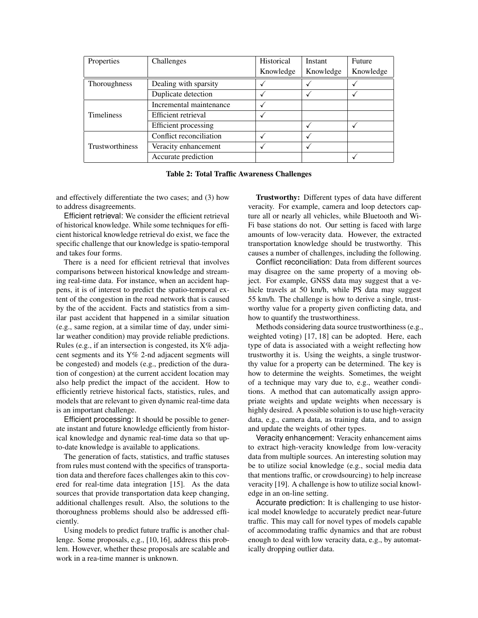| Properties             | Challenges                  | Historical | Instant   | Future    |
|------------------------|-----------------------------|------------|-----------|-----------|
|                        |                             | Knowledge  | Knowledge | Knowledge |
| <b>Thoroughness</b>    | Dealing with sparsity       |            |           |           |
|                        | Duplicate detection         |            |           |           |
|                        | Incremental maintenance     |            |           |           |
| <b>Timeliness</b>      | Efficient retrieval         |            |           |           |
|                        | <b>Efficient</b> processing |            |           |           |
|                        | Conflict reconciliation     |            |           |           |
| <b>Trustworthiness</b> | Veracity enhancement        |            |           |           |
|                        | Accurate prediction         |            |           |           |

Table 2: Total Traffic Awareness Challenges

and effectively differentiate the two cases; and (3) how to address disagreements.

Efficient retrieval: We consider the efficient retrieval of historical knowledge. While some techniques for efficient historical knowledge retrieval do exist, we face the specific challenge that our knowledge is spatio-temporal and takes four forms.

There is a need for efficient retrieval that involves comparisons between historical knowledge and streaming real-time data. For instance, when an accident happens, it is of interest to predict the spatio-temporal extent of the congestion in the road network that is caused by the of the accident. Facts and statistics from a similar past accident that happened in a similar situation (e.g., same region, at a similar time of day, under similar weather condition) may provide reliable predictions. Rules (e.g., if an intersection is congested, its X% adjacent segments and its Y% 2-nd adjacent segments will be congested) and models (e.g., prediction of the duration of congestion) at the current accident location may also help predict the impact of the accident. How to efficiently retrieve historical facts, statistics, rules, and models that are relevant to given dynamic real-time data is an important challenge.

Efficient processing: It should be possible to generate instant and future knowledge efficiently from historical knowledge and dynamic real-time data so that upto-date knowledge is available to applications.

The generation of facts, statistics, and traffic statuses from rules must contend with the specifics of transportation data and therefore faces challenges akin to this covered for real-time data integration [15]. As the data sources that provide transportation data keep changing, additional challenges result. Also, the solutions to the thoroughness problems should also be addressed efficiently.

Using models to predict future traffic is another challenge. Some proposals, e.g., [10, 16], address this problem. However, whether these proposals are scalable and work in a rea-time manner is unknown.

Trustworthy: Different types of data have different veracity. For example, camera and loop detectors capture all or nearly all vehicles, while Bluetooth and Wi-Fi base stations do not. Our setting is faced with large amounts of low-veracity data. However, the extracted transportation knowledge should be trustworthy. This causes a number of challenges, including the following.

Conflict reconciliation: Data from different sources may disagree on the same property of a moving object. For example, GNSS data may suggest that a vehicle travels at 50 km/h, while PS data may suggest 55 km/h. The challenge is how to derive a single, trustworthy value for a property given conflicting data, and how to quantify the trustworthiness.

Methods considering data source trustworthiness (e.g., weighted voting) [17, 18] can be adopted. Here, each type of data is associated with a weight reflecting how trustworthy it is. Using the weights, a single trustworthy value for a property can be determined. The key is how to determine the weights. Sometimes, the weight of a technique may vary due to, e.g., weather conditions. A method that can automatically assign appropriate weights and update weights when necessary is highly desired. A possible solution is to use high-veracity data, e.g., camera data, as training data, and to assign and update the weights of other types.

Veracity enhancement: Veracity enhancement aims to extract high-veracity knowledge from low-veracity data from multiple sources. An interesting solution may be to utilize social knowledge (e.g., social media data that mentions traffic, or crowdsourcing) to help increase veracity [19]. A challenge is how to utilize social knowledge in an on-line setting.

Accurate prediction: It is challenging to use historical model knowledge to accurately predict near-future traffic. This may call for novel types of models capable of accommodating traffic dynamics and that are robust enough to deal with low veracity data, e.g., by automatically dropping outlier data.